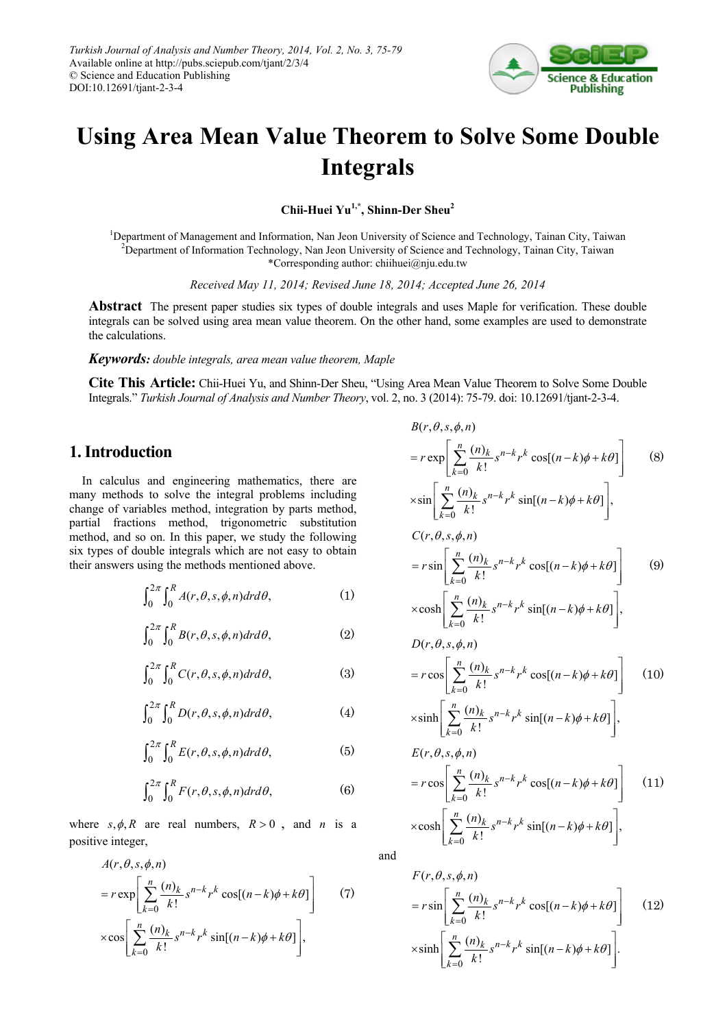

# **Using Area Mean Value Theorem to Solve Some Double Integrals**

**Chii-Huei Yu1,\*, Shinn-Der Sheu<sup>2</sup>**

<sup>1</sup>Department of Management and Information, Nan Jeon University of Science and Technology, Tainan City, Taiwan 2 Department of Information Technology, Nan Jeon University of Science and Technology, Tainan City, Taiwan \*Corresponding author: chiihuei@nju.edu.tw

*Received May 11, 2014; Revised June 18, 2014; Accepted June 26, 2014*

**Abstract** The present paper studies six types of double integrals and uses Maple for verification. These double integrals can be solved using area mean value theorem. On the other hand, some examples are used to demonstrate the calculations.

*Keywords: double integrals, area mean value theorem, Maple*

**Cite This Article:** Chii-Huei Yu, and Shinn-Der Sheu, "Using Area Mean Value Theorem to Solve Some Double Integrals." *Turkish Journal of Analysis and Number Theory*, vol. 2, no. 3 (2014): 75-79. doi: 10.12691/tjant-2-3-4.

# **1. Introduction**

In calculus and engineering mathematics, there are many methods to solve the integral problems including change of variables method, integration by parts method, partial fractions method, trigonometric substitution method, and so on. In this paper, we study the following six types of double integrals which are not easy to obtain their answers using the methods mentioned above.

$$
\int_0^{2\pi} \int_0^R A(r,\theta,s,\phi,n) dr d\theta, \tag{1}
$$

$$
\int_0^{2\pi} \int_0^R B(r,\theta,s,\phi,n) dr d\theta, \tag{2}
$$

$$
\int_0^{2\pi} \int_0^R C(r,\theta,s,\phi,n) dr d\theta,\tag{3}
$$

$$
\int_0^{2\pi} \int_0^R D(r,\theta,s,\phi,n) dr d\theta,\tag{4}
$$

$$
\int_0^{2\pi} \int_0^R E(r,\theta,s,\phi,n) dr d\theta, \tag{5}
$$

$$
\int_0^{2\pi} \int_0^R F(r,\theta,s,\phi,n) dr d\theta,\tag{6}
$$

where  $s, \phi, R$  are real numbers,  $R > 0$ , and *n* is a positive integer,

$$
A(r, \theta, s, \phi, n)
$$
  
=  $r \exp \left[ \sum_{k=0}^{n} \frac{(n)_k}{k!} s^{n-k} r^k \cos[(n-k)\phi + k\theta] \right]$  (7)  
 $\times \cos \left[ \sum_{k=0}^{n} \frac{(n)_k}{k!} s^{n-k} r^k \sin[(n-k)\phi + k\theta] \right],$ 

$$
B(r, \theta, s, \phi, n)
$$
  
\n
$$
= r \exp \left[ \sum_{k=0}^{n} \frac{(n)_k}{k!} s^{n-k} r^k \cos[(n-k)\phi + k\theta] \right]
$$
(8)  
\n
$$
\times \sin \left[ \sum_{k=0}^{n} \frac{(n)_k}{k!} s^{n-k} r^k \sin[(n-k)\phi + k\theta] \right],
$$
  
\n
$$
C(r, \theta, s, \phi, n)
$$
  
\n
$$
= r \sin \left[ \sum_{k=0}^{n} \frac{(n)_k}{k!} s^{n-k} r^k \cos[(n-k)\phi + k\theta] \right]
$$
(9)  
\n
$$
\times \cosh \left[ \sum_{k=0}^{n} \frac{(n)_k}{k!} s^{n-k} r^k \sin[(n-k)\phi + k\theta] \right],
$$
  
\n
$$
D(r, \theta, s, \phi, n)
$$
  
\n
$$
= r \cos \left[ \sum_{k=0}^{n} \frac{(n)_k}{k!} s^{n-k} r^k \cos[(n-k)\phi + k\theta] \right],
$$
  
\n
$$
E(r, \theta, s, \phi, n)
$$
  
\n
$$
= r \cos \left[ \sum_{k=0}^{n} \frac{(n)_k}{k!} s^{n-k} r^k \sin[(n-k)\phi + k\theta] \right],
$$
  
\n
$$
= r \cos \left[ \sum_{k=0}^{n} \frac{(n)_k}{k!} s^{n-k} r^k \cos[(n-k)\phi + k\theta] \right],
$$
  
\n
$$
\times \cosh \left[ \sum_{k=0}^{n} \frac{(n)_k}{k!} s^{n-k} r^k \sin[(n-k)\phi + k\theta] \right],
$$
  
\n
$$
F(r, \theta, s, \phi, n)
$$

and

$$
F(r, \theta, s, \phi, n)
$$
  
=  $r \sin \left[ \sum_{k=0}^{n} \frac{(n)_k}{k!} s^{n-k} r^k \cos[(n-k)\phi + k\theta] \right]$  (12)  
 $\times \sinh \left[ \sum_{k=0}^{n} \frac{(n)_k}{k!} s^{n-k} r^k \sin[(n-k)\phi + k\theta] \right].$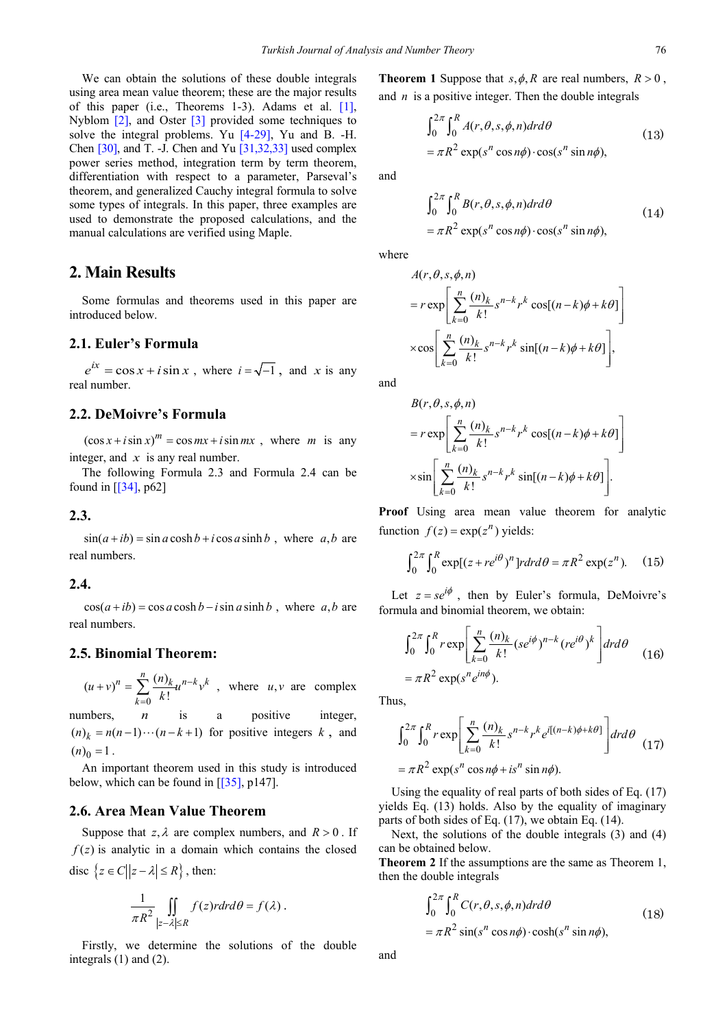We can obtain the solutions of these double integrals using area mean value theorem; these are the major results of this paper (i.e., Theorems 1-3). Adams et al. [\[1\],](#page-3-0) Nyblom [\[2\],](#page-3-1) and Oster [\[3\]](#page-3-2) provided some techniques to solve the integral problems. Yu [\[4-29\],](#page-3-3) Yu and B. -H. Chen [\[30\],](#page-4-0) and T. -J. Chen and Yu [\[31,32,33\]](#page-4-1) used complex power series method, integration term by term theorem, differentiation with respect to a parameter, Parseval's theorem, and generalized Cauchy integral formula to solve some types of integrals. In this paper, three examples are used to demonstrate the proposed calculations, and the manual calculations are verified using Maple.

#### **2. Main Results**

Some formulas and theorems used in this paper are introduced below.

#### **2.1. Euler's Formula**

 $e^{ix} = \cos x + i \sin x$ , where  $i = \sqrt{-1}$ , and *x* is any real number.

#### **2.2. DeMoivre's Formula**

 $(\cos x + i \sin x)^m = \cos mx + i \sin mx$ , where *m* is any integer, and *x* is any real number.

The following Formula 2.3 and Formula 2.4 can be found in [\[\[34\],](#page-4-2) p62]

**2.3.** 

 $\sin(a + ib) = \sin a \cosh b + i \cos a \sinh b$ , where *a, b* are real numbers.

#### **2.4.**

 $cos(a + ib) = cos a cosh b - i sin a sinh b$ , where *a, b* are real numbers.

### **2.5. Binomial Theorem:**

 $(u + v)^n = \sum_{k=0}^n \frac{(n)_k}{k!} u^{n-k} v^k$ *k*  $(u+v)^n = \sum_{k=0}^n \frac{(n)_k}{k!} u^{n-k}v^k$ − =  $(v + v)^n = \sum_{k=1}^{\infty} \frac{(n_k u)^{n-k}}{v^k} v^k$ , where  $u, v$  are complex

numbers, *n* is a positive integer,  $(n)_k = n(n-1)\cdots(n-k+1)$  for positive integers k, and  $(n)$ <sub>0</sub> = 1.

An important theorem used in this study is introduced below, which can be found in  $[35]$ , p147].

#### **2.6. Area Mean Value Theorem**

Suppose that  $z, \lambda$  are complex numbers, and  $R > 0$ . If  $f(z)$  is analytic in a domain which contains the closed disc  $\{z \in C | |z - \lambda| \le R\}$ , then:

$$
\frac{1}{\pi R^2} \iint\limits_{|z-\lambda|\leq R} f(z)r dr d\theta = f(\lambda).
$$

Firstly, we determine the solutions of the double integrals (1) and (2).

**Theorem 1** Suppose that  $s, \phi, R$  are real numbers,  $R > 0$ , and *n* is a positive integer. Then the double integrals

$$
\int_0^{2\pi} \int_0^R A(r, \theta, s, \phi, n) dr d\theta
$$
  
=  $\pi R^2 \exp(s^n \cos n\phi) \cdot \cos(s^n \sin n\phi)$ , (13)

and

$$
\int_0^{2\pi} \int_0^R B(r, \theta, s, \phi, n) dr d\theta
$$
  
=  $\pi R^2 \exp(s^n \cos n\phi) \cdot \cos(s^n \sin n\phi)$ , (14)

where

$$
A(r, \theta, s, \phi, n)
$$
  
=  $r \exp \left[ \sum_{k=0}^{n} \frac{(n)_k}{k!} s^{n-k} r^k \cos[(n-k)\phi + k\theta] \right]$   
 $\times \cos \left[ \sum_{k=0}^{n} \frac{(n)_k}{k!} s^{n-k} r^k \sin[(n-k)\phi + k\theta] \right],$ 

and

$$
B(r, \theta, s, \phi, n)
$$
  
=  $r \exp \left[ \sum_{k=0}^{n} \frac{(n)_k}{k!} s^{n-k} r^k \cos[(n-k)\phi + k\theta] \right]$   
 $\times \sin \left[ \sum_{k=0}^{n} \frac{(n)_k}{k!} s^{n-k} r^k \sin[(n-k)\phi + k\theta] \right].$ 

**Proof** Using area mean value theorem for analytic function  $f(z) = \exp(z^n)$  yields:

$$
\int_0^{2\pi} \int_0^R \exp[(z + re^{i\theta})^n] r dr d\theta = \pi R^2 \exp(z^n).
$$
 (15)

Let  $z = se^{i\phi}$ , then by Euler's formula, DeMoivre's formula and binomial theorem, we obtain:

$$
\int_0^{2\pi} \int_0^R r \exp\left[\sum_{k=0}^n \frac{(n)_k}{k!} (se^{i\phi})^{n-k} (re^{i\theta})^k\right] dr d\theta
$$
  
=  $\pi R^2 \exp(s^n e^{in\phi}).$  (16)

Thus,

$$
\int_0^{2\pi} \int_0^R r \exp\left[\sum_{k=0}^n \frac{(n)_k}{k!} s^{n-k} r^k e^{i[(n-k)\phi + k\theta]}\right] dr d\theta
$$
  
=  $\pi R^2 \exp(s^n \cos n\phi + is^n \sin n\phi)$ . (17)

Using the equality of real parts of both sides of Eq. (17) yields Eq. (13) holds. Also by the equality of imaginary parts of both sides of Eq. (17), we obtain Eq. (14).

Next, the solutions of the double integrals (3) and (4) can be obtained below.

**Theorem 2** If the assumptions are the same as Theorem 1, then the double integrals

$$
\int_0^{2\pi} \int_0^R C(r, \theta, s, \phi, n) dr d\theta
$$
  
=  $\pi R^2 \sin(s^n \cos n\phi) \cdot \cosh(s^n \sin n\phi)$ , (18)

and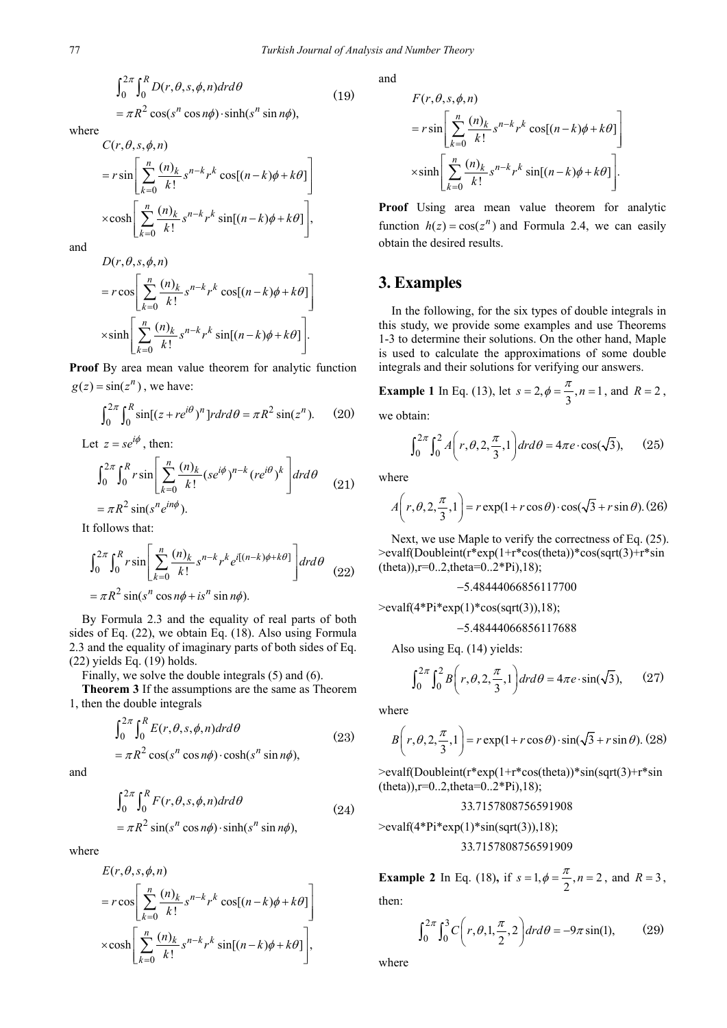$$
\int_0^{2\pi} \int_0^R D(r, \theta, s, \phi, n) dr d\theta
$$
  
=  $\pi R^2 \cos(s^n \cos n\phi) \cdot \sinh(s^n \sin n\phi)$ , (19)

where

$$
C(r, \theta, s, \phi, n)
$$
  
=  $r \sin \left[ \sum_{k=0}^{n} \frac{(n)_k}{k!} s^{n-k} r^k \cos[(n-k)\phi + k\theta] \right]$   
 $\times \cosh \left[ \sum_{k=0}^{n} \frac{(n)_k}{k!} s^{n-k} r^k \sin[(n-k)\phi + k\theta] \right],$ 

and

$$
D(r, \theta, s, \phi, n)
$$
  
=  $r \cos \left[ \sum_{k=0}^{n} \frac{(n)_k}{k!} s^{n-k} r^k \cos[(n-k)\phi + k\theta] \right]$   
 $\times \sinh \left[ \sum_{k=0}^{n} \frac{(n)_k}{k!} s^{n-k} r^k \sin[(n-k)\phi + k\theta] \right].$ 

**Proof** By area mean value theorem for analytic function  $g(z) = \sin(z^n)$ , we have:

$$
\int_0^{2\pi} \int_0^R \sin[(z + re^{i\theta})^n] r dr d\theta = \pi R^2 \sin(z^n). \tag{20}
$$

Let  $z = se^{i\phi}$ , then:

$$
\int_0^{2\pi} \int_0^R r \sin \left[ \sum_{k=0}^n \frac{(n)_k}{k!} (se^{i\phi})^{n-k} (re^{i\theta})^k \right] dr d\theta
$$
  
=  $\pi R^2 \sin(s^n e^{in\phi}).$  (21)

It follows that:

$$
\int_0^{2\pi} \int_0^R r \sin \left[ \sum_{k=0}^n \frac{(n)_k}{k!} s^{n-k} r^k e^{i[(n-k)\phi + k\theta]} \right] dr d\theta
$$
  
=  $\pi R^2 \sin(s^n \cos n\phi + is^n \sin n\phi)$ . (22)

By Formula 2.3 and the equality of real parts of both sides of Eq. (22), we obtain Eq. (18). Also using Formula 2.3 and the equality of imaginary parts of both sides of Eq. (22) yields Eq. (19) holds.

Finally, we solve the double integrals (5) and (6).

**Theorem 3** If the assumptions are the same as Theorem 1, then the double integrals

$$
\int_0^{2\pi} \int_0^R E(r, \theta, s, \phi, n) dr d\theta
$$
\n
$$
= \pi R^2 \cos(s^n \cos n\phi) \cdot \cosh(s^n \sin n\phi),
$$
\n(23)

and

$$
\int_0^{2\pi} \int_0^R F(r, \theta, s, \phi, n) dr d\theta
$$
  
=  $\pi R^2 \sin(s^n \cos n\phi) \cdot \sinh(s^n \sin n\phi)$ , (24)

where

$$
E(r, \theta, s, \phi, n)
$$
  
=  $r \cos \left[ \sum_{k=0}^{n} \frac{(n)_k}{k!} s^{n-k} r^k \cos[(n-k)\phi + k\theta] \right]$   
 $\times \cosh \left[ \sum_{k=0}^{n} \frac{(n)_k}{k!} s^{n-k} r^k \sin[(n-k)\phi + k\theta] \right],$ 

and

$$
F(r, \theta, s, \phi, n)
$$
  
=  $r \sin \left[ \sum_{k=0}^{n} \frac{(n)_k}{k!} s^{n-k} r^k \cos[(n-k)\phi + k\theta] \right]$   
 $\times \sinh \left[ \sum_{k=0}^{n} \frac{(n)_k}{k!} s^{n-k} r^k \sin[(n-k)\phi + k\theta] \right].$ 

**Proof** Using area mean value theorem for analytic function  $h(z) = cos(z^n)$  and Formula 2.4, we can easily obtain the desired results.

## **3. Examples**

In the following, for the six types of double integrals in this study, we provide some examples and use Theorems 1-3 to determine their solutions. On the other hand, Maple is used to calculate the approximations of some double integrals and their solutions for verifying our answers.

**Example 1** In Eq. (13), let  $s = 2$ ,  $\phi = \frac{\pi}{3}$ ,  $n = 1$ , and  $R = 2$ , we obtain:

$$
\int_0^{2\pi} \int_0^2 A\left(r, \theta, 2, \frac{\pi}{3}, 1\right) dr d\theta = 4\pi e \cdot \cos(\sqrt{3}), \qquad (25)
$$

where

$$
A\left(r,\theta,2,\frac{\pi}{3},1\right) = r\exp(1+r\cos\theta)\cdot\cos(\sqrt{3}+r\sin\theta). (26)
$$

Next, we use Maple to verify the correctness of Eq. (25). >evalf(Doubleint(r\*exp(1+r\*cos(theta))\*cos(sqrt(3)+r\*sin  $(theta)$ ),r=0..2,theta=0..2\*Pi),18);

$$
-5.48444066856117700
$$
  
>evalf(4\*Pi\*exp(1)\*cos(sqrt(3)),18);

−5.48444066856117688

Also using Eq. (14) yields:

$$
\int_0^{2\pi} \int_0^2 B\left(r, \theta, 2, \frac{\pi}{3}, 1\right) dr d\theta = 4\pi e \cdot \sin(\sqrt{3}), \qquad (27)
$$

where

$$
B\left(r,\theta,2,\frac{\pi}{3},1\right) = r\exp(1+r\cos\theta)\cdot\sin(\sqrt{3}+r\sin\theta). (28)
$$

>evalf(Doubleint(r\*exp(1+r\*cos(theta))\*sin(sqrt(3)+r\*sin  $(theta)$ ),r=0..2,theta=0..2\*Pi),18);

#### 33.7157808756591908

 $\text{Pevalf}(4*Pi*exp(1)*sin(sqrt(3)),18);$ 

33.7157808756591909

**Example 2** In Eq. (18), if  $s = 1, \phi = \frac{\pi}{2}, n = 2$ , and  $R = 3$ , then:

 $\int_0^{2\pi} \int_0^3 C\left(r, \theta, 1, \frac{\pi}{2}, 2\right) dr d\theta = -9\pi \sin(1),$  (29)

where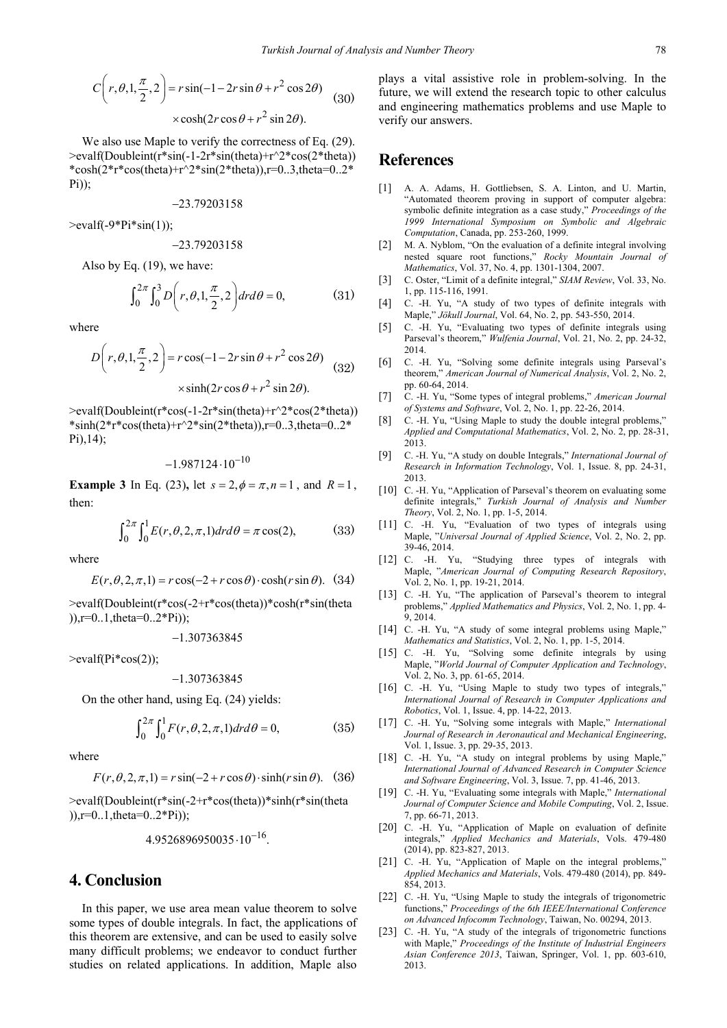$$
C\left(r,\theta,1,\frac{\pi}{2},2\right) = r\sin(-1-2r\sin\theta+r^2\cos 2\theta)
$$
 (30)  
 
$$
\times \cosh(2r\cos\theta+r^2\sin 2\theta).
$$

We also use Maple to verify the correctness of Eq.  $(29)$ . >evalf(Doubleint(r\*sin(-1-2r\*sin(theta)+r^2\*cos(2\*theta)) \*cosh(2\*r\*cos(theta)+r^2\*sin(2\*theta)),r=0..3,theta=0..2\* Pi));

$$
-23.79203158\\
$$

 $>$ evalf $(-9^*Pi^*sin(1))$ ;

$$
-23.79203158\\
$$

Also by Eq. (19), we have:

$$
\int_0^{2\pi} \int_0^3 D\left(r, \theta, 1, \frac{\pi}{2}, 2\right) dr d\theta = 0,\tag{31}
$$

where

$$
D\left(r,\theta,1,\frac{\pi}{2},2\right) = r\cos(-1-2r\sin\theta+r^2\cos 2\theta)
$$
  
 
$$
\times\sinh(2r\cos\theta+r^2\sin 2\theta).
$$
 (32)

 $\ge$ evalf(Doubleint(r\*cos(-1-2r\*sin(theta)+r^2\*cos(2\*theta)) \*sinh(2\*r\*cos(theta)+r^2\*sin(2\*theta)),r=0..3,theta=0..2\* Pi),14);

$$
-1.987124\cdot10^{-10}
$$

**Example 3** In Eq. (23), let  $s = 2$ ,  $\phi = \pi$ ,  $n = 1$ , and  $R = 1$ , then:

$$
\int_0^{2\pi} \int_0^1 E(r,\theta,2,\pi,1) dr d\theta = \pi \cos(2),\tag{33}
$$

where

$$
E(r, \theta, 2, \pi, 1) = r \cos(-2 + r \cos \theta) \cdot \cosh(r \sin \theta). \quad (34)
$$

>evalf(Doubleint(r\*cos(-2+r\*cos(theta))\*cosh(r\*sin(theta  $)$ ,r=0..1,theta=0..2\*Pi));

−1.307363845

 $\ge$ evalf(Pi $*cos(2)$ );

−1.307363845

On the other hand, using Eq. (24) yields:

$$
\int_0^{2\pi} \int_0^1 F(r, \theta, 2, \pi, 1) dr d\theta = 0,
$$
 (35)

where

 $F(r, \theta, 2, \pi, 1) = r \sin(-2 + r \cos \theta) \cdot \sinh(r \sin \theta)$ . (36)

>evalf(Doubleint(r\*sin(-2+r\*cos(theta))\*sinh(r\*sin(theta  $)$ ,r=0..1,theta=0..2\*Pi));

 $4.9526896950035 \cdot 10^{-16}$ .

## **4. Conclusion**

In this paper, we use area mean value theorem to solve some types of double integrals. In fact, the applications of this theorem are extensive, and can be used to easily solve many difficult problems; we endeavor to conduct further studies on related applications. In addition, Maple also

plays a vital assistive role in problem-solving. In the future, we will extend the research topic to other calculus and engineering mathematics problems and use Maple to verify our answers.

## **References**

- <span id="page-3-0"></span>[1] A. A. Adams, H. Gottliebsen, S. A. Linton, and U. Martin, "Automated theorem proving in support of computer algebra: symbolic definite integration as a case study," *Proceedings of the 1999 International Symposium on Symbolic and Algebraic Computation*, Canada, pp. 253-260, 1999.
- <span id="page-3-1"></span>[2] M. A. Nyblom, "On the evaluation of a definite integral involving nested square root functions," *Rocky Mountain Journal of Mathematics*, Vol. 37, No. 4, pp. 1301-1304, 2007.
- <span id="page-3-2"></span>[3] C. Oster, "Limit of a definite integral," *SIAM Review*, Vol. 33, No. 1, pp. 115-116, 1991.
- <span id="page-3-3"></span>[4] C. -H. Yu, "A study of two types of definite integrals with Maple," *Jökull Journal*, Vol. 64, No. 2, pp. 543-550, 2014.
- [5] C. -H. Yu, "Evaluating two types of definite integrals using Parseval's theorem," *Wulfenia Journal*, Vol. 21, No. 2, pp. 24-32, 2014.
- [6] C. -H. Yu, "Solving some definite integrals using Parseval's theorem," *American Journal of Numerical Analysis*, Vol. 2, No. 2, pp. 60-64, 2014.
- [7] C. -H. Yu, "Some types of integral problems," *American Journal of Systems and Software*, Vol. 2, No. 1, pp. 22-26, 2014.
- [8] C. -H. Yu, "Using Maple to study the double integral problems," *Applied and Computational Mathematics*, Vol. 2, No. 2, pp. 28-31, 2013.
- [9] C. -H. Yu, "A study on double Integrals," *International Journal of Research in Information Technology*, Vol. 1, Issue. 8, pp. 24-31, 2013.
- [10] C. -H. Yu, "Application of Parseval's theorem on evaluating some definite integrals," *Turkish Journal of Analysis and Number Theory*, Vol. 2, No. 1, pp. 1-5, 2014.
- [11] C. -H. Yu, "Evaluation of two types of integrals using Maple, "*Universal Journal of Applied Science*, Vol. 2, No. 2, pp. 39-46, 2014.
- [12] C. -H. Yu, "Studying three types of integrals with Maple, "*American Journal of Computing Research Repository*, Vol. 2, No. 1, pp. 19-21, 2014.
- [13] C. -H. Yu, "The application of Parseval's theorem to integral problems," *Applied Mathematics and Physics*, Vol. 2, No. 1, pp. 4- 9, 2014.
- [14] C. -H. Yu, "A study of some integral problems using Maple," *Mathematics and Statistics*, Vol. 2, No. 1, pp. 1-5, 2014.
- [15] C. -H. Yu, "Solving some definite integrals by using Maple, "*World Journal of Computer Application and Technology*, Vol. 2, No. 3, pp. 61-65, 2014.
- [16] C. -H. Yu, "Using Maple to study two types of integrals," *International Journal of Research in Computer Applications and Robotics*, Vol. 1, Issue. 4, pp. 14-22, 2013.
- [17] C. -H. Yu, "Solving some integrals with Maple," *International Journal of Research in Aeronautical and Mechanical Engineering*, Vol. 1, Issue. 3, pp. 29-35, 2013.
- [18] C. -H. Yu, "A study on integral problems by using Maple," *International Journal of Advanced Research in Computer Science and Software Engineering*, Vol. 3, Issue. 7, pp. 41-46, 2013.
- [19] C. -H. Yu, "Evaluating some integrals with Maple," *International Journal of Computer Science and Mobile Computing*, Vol. 2, Issue. 7, pp. 66-71, 2013.
- [20] C. -H. Yu, "Application of Maple on evaluation of definite integrals," *Applied Mechanics and Materials*, Vols. 479-480 (2014), pp. 823-827, 2013.
- [21] C. -H. Yu, "Application of Maple on the integral problems," *Applied Mechanics and Materials*, Vols. 479-480 (2014), pp. 849- 854, 2013.
- [22] C. -H. Yu, "Using Maple to study the integrals of trigonometric functions," *Proceedings of the 6th IEEE/International Conference on Advanced Infocomm Technology*, Taiwan, No. 00294, 2013.
- [23] C. -H. Yu, "A study of the integrals of trigonometric functions with Maple," *Proceedings of the Institute of Industrial Engineers Asian Conference 2013*, Taiwan, Springer, Vol. 1, pp. 603-610, 2013.